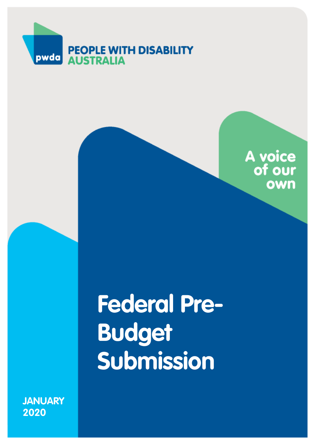



# **Federal Pre-Budget Submission**

**JANUARY 2020**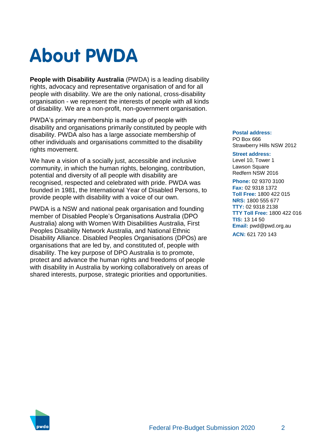## **About PWDA**

**People with Disability Australia** (PWDA) is a leading disability rights, advocacy and representative organisation of and for all people with disability. We are the only national, cross-disability organisation - we represent the interests of people with all kinds of disability. We are a non-profit, non-government organisation.

PWDA's primary membership is made up of people with disability and organisations primarily constituted by people with disability. PWDA also has a large associate membership of other individuals and organisations committed to the disability rights movement.

We have a vision of a socially just, accessible and inclusive community, in which the human rights, belonging, contribution, potential and diversity of all people with disability are recognised, respected and celebrated with pride. PWDA was founded in 1981, the International Year of Disabled Persons, to provide people with disability with a voice of our own.

PWDA is a NSW and national peak organisation and founding member of Disabled People's Organisations Australia (DPO Australia) along with Women With Disabilities Australia, First Peoples Disability Network Australia, and National Ethnic Disability Alliance. Disabled Peoples Organisations (DPOs) are organisations that are led by, and constituted of, people with disability. The key purpose of DPO Australia is to promote, protect and advance the human rights and freedoms of people with disability in Australia by working collaboratively on areas of shared interests, purpose, strategic priorities and opportunities.

#### **Postal address:**

PO Box 666 Strawberry Hills NSW 2012

#### **Street address:**

Level 10, Tower 1 Lawson Square Redfern NSW 2016

**Phone:** 02 9370 3100 **Fax:** 02 9318 1372 **Toll Free:** 1800 422 015 **NRS:** 1800 555 677 **TTY:** 02 9318 2138 **TTY Toll Free:** 1800 422 016 **TIS:** 13 14 50 **Email:** pwd@pwd.org.au **ACN:** 621 720 143

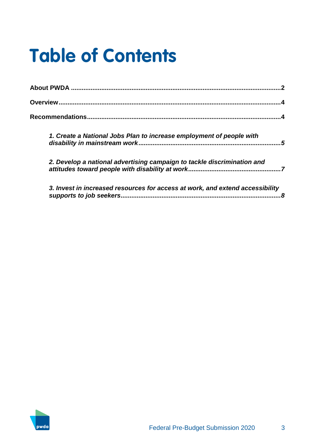## **Table of Contents**

| 1. Create a National Jobs Plan to increase employment of people with                                      |
|-----------------------------------------------------------------------------------------------------------|
| 2. Develop a national advertising campaign to tackle discrimination and                                   |
| 3. Invest in increased resources for access at work, and extend accessibility<br>supports to job seekers. |

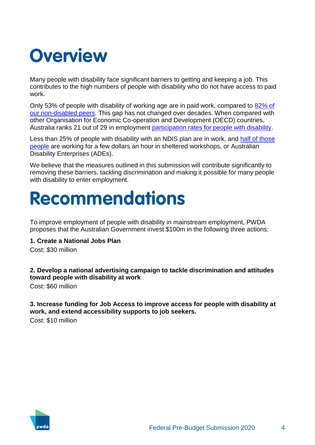## **Overview**

Many people with disability face significant barriers to getting and keeping a job. This contributes to the high numbers of people with disability who do not have access to paid work.

Only 53% of people with disability of working age are in paid work, compared to [82% of](https://www.abs.gov.au/ausstats/abs@.nsf/0/C258C88A7AA5A87ECA2568A9001393E8?Opendocument)  [our non-disabled peers.](https://www.abs.gov.au/ausstats/abs@.nsf/0/C258C88A7AA5A87ECA2568A9001393E8?Opendocument) This gap has not changed over decades. When compared with other Organisation for Economic Co-operation and Development (OECD) countries, Australia ranks 21 out of 29 in employment [participation rates for people with disability.](https://doi.org/10.1787/9789264088856-en)

Less than 25% of people with disability with an NDIS plan are in work, and half of those [people](https://www.abc.net.au/news/2019-08-01/ndis-scheme-workers-underpaid-figures-reveal/11372252) are working for a few dollars an hour in sheltered workshops, or Australian Disability Enterprises (ADEs).

We believe that the measures outlined in this submission will contribute significantly to removing these barriers, tackling discrimination and making it possible for many people with disability to enter employment.

## **Recommendations**

To improve employment of people with disability in mainstream employment, PWDA proposes that the Australian Government invest \$100m in the following three actions:

### **1. Create a National Jobs Plan**

Cost: \$30 million

## **2. Develop a national advertising campaign to tackle discrimination and attitudes toward people with disability at work**

Cost: \$60 million

## **3. Increase funding for Job Access to improve access for people with disability at work, and extend accessibility supports to job seekers.**

Cost: \$10 million

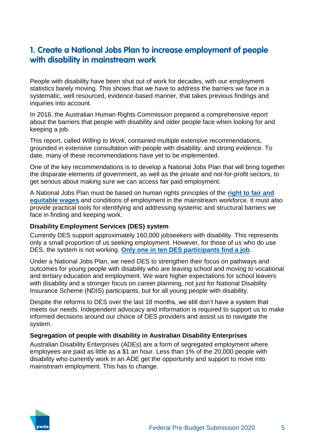## **1. Create a National Jobs Plan to increase employment of people with disability in mainstream work**

People with disability have been shut out of work for decades, with our employment statistics barely moving. This shows that we have to address the barriers we face in a systematic, well resourced, evidence-based manner, that takes previous findings and inquiries into account.

In 2016, the Australian Human Rights Commission prepared a comprehensive report about the barriers that people with disability and older people face when looking for and keeping a job.

This report, called *Willing to Work*, contained multiple extensive recommendations, grounded in extensive consultation with people with disability, and strong evidence. To date, many of these recommendations have yet to be implemented.

One of the key recommendations is to develop a National Jobs Plan that will bring together the disparate elements of government, as well as the private and not-for-profit sectors, to get serious about making sure we can access fair paid employment.

A National Jobs Plan must be based on human rights principles of the **[right to fair and](https://www.un.org/development/desa/disabilities/convention-on-the-rights-of-persons-with-disabilities/article-27-work-and-employment.html)  [equitable wages](https://www.un.org/development/desa/disabilities/convention-on-the-rights-of-persons-with-disabilities/article-27-work-and-employment.html)** and conditions of employment in the mainstream workforce. It must also provide practical tools for identifying and addressing systemic and structural barriers we face in finding and keeping work.

## **Disability Employment Services (DES) system**

Currently DES support approximately 160,000 jobseekers with disability. This represents only a small proportion of us seeking employment. However, for those of us who do use DES, the system is not working. **[Only one in ten DES participants find a job](https://d3n8a8pro7vhmx.cloudfront.net/wecanwork/pages/38/attachments/original/1436236024/DES_Evaluation.pdf?1436236024)**.

Under a National Jobs Plan, we need DES to strengthen their focus on pathways and outcomes for young people with disability who are leaving school and moving to vocational and tertiary education and employment. We want higher expectations for school leavers with disability and a stronger focus on career planning, not just for National Disability Insurance Scheme (NDIS) participants, but for all young people with disability.

Despite the reforms to DES over the last 18 months, we still don't have a system that meets our needs. Independent advocacy and information is required to support us to make informed decisions around our choice of DES providers and assist us to navigate the system.

### **Segregation of people with disability in Australian Disability Enterprises**

Australian Disability Enterprises (ADEs) are a form of segregated employment where employees are paid as little as a \$1 an hour. Less than 1% of the 20,000 people with disability who currently work in an ADE get the opportunity and support to move into mainstream employment. This has to change.

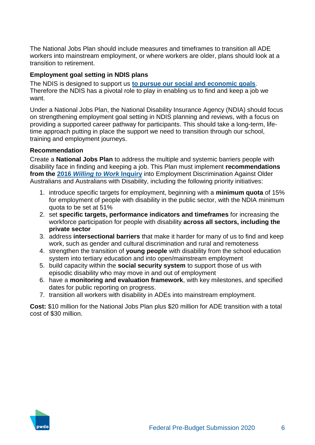The National Jobs Plan should include measures and timeframes to transition all ADE workers into mainstream employment, or where workers are older, plans should look at a transition to retirement.

## **Employment goal setting in NDIS plans**

The NDIS is designed to support us **[to pursue our social and economic goals](https://www.coag.gov.au/sites/default/files/communique/NDIS-Principles-to-Determine-Responsibilities-NDIS-and-Other-Service.pdf)**. Therefore the NDIS has a pivotal role to play in enabling us to find and keep a job we want.

Under a National Jobs Plan, the National Disability Insurance Agency (NDIA) should focus on strengthening employment goal setting in NDIS planning and reviews, with a focus on providing a supported career pathway for participants. This should take a long-term, lifetime approach putting in place the support we need to transition through our school, training and employment journeys.

## **Recommendation**

Create a **National Jobs Plan** to address the multiple and systemic barriers people with disability face in finding and keeping a job. This Plan must implement **recommendations from the 2016** *[Willing to Work](https://www.humanrights.gov.au/sites/default/files/document/publication/WTW_2016_Full_Report_AHRC_ac.pdf)* **Inquiry** into Employment Discrimination Against Older Australians and Australians with Disability, including the following priority initiatives:

- 1. introduce specific targets for employment, beginning with a **minimum quota** of 15% for employment of people with disability in the public sector, with the NDIA minimum quota to be set at 51%
- 2. set **specific targets, performance indicators and timeframes** for increasing the workforce participation for people with disability **across all sectors, including the private sector**
- 3. address **intersectional barriers** that make it harder for many of us to find and keep work, such as gender and cultural discrimination and rural and remoteness
- 4. strengthen the transition of **young people** with disability from the school education system into tertiary education and into open/mainstream employment
- 5. build capacity within the **social security system** to support those of us with episodic disability who may move in and out of employment
- 6. have a **monitoring and evaluation framework**, with key milestones, and specified dates for public reporting on progress.
- 7. transition all workers with disability in ADEs into mainstream employment.

**Cost:** \$10 million for the National Jobs Plan plus \$20 million for ADE transition with a total cost of \$30 million.

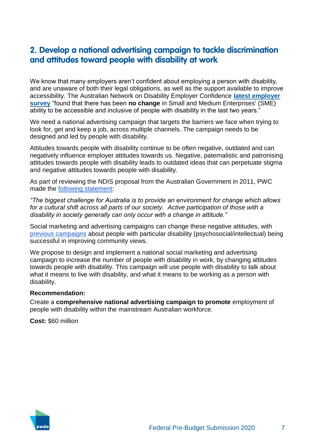## **2. Develop a national advertising campaign to tackle discrimination and attitudes toward people with disability at work**

We know that many employers aren't confident about employing a person with disability, and are unaware of both their legal obligations, as well as the support available to improve accessibility. The Australian Network on Disability Employer Confidence **[latest employer](https://www.and.org.au/pages/disability-confidence-survey-report-2017.html)  [survey](https://www.and.org.au/pages/disability-confidence-survey-report-2017.html)** "found that there has been **no change** in Small and Medium Enterprises' (SME) ability to be accessible and inclusive of people with disability in the last two years."

We need a national advertising campaign that targets the barriers we face when trying to look for, get and keep a job, across multiple channels. The campaign needs to be designed and led by people with disability.

Attitudes towards people with disability continue to be often negative, outdated and can negatively influence employer attitudes towards us. Negative, paternalistic and patronising attitudes towards people with disability leads to outdated ideas that can perpetuate stigma and negative attitudes towards people with disability.

As part of reviewing the NDIS proposal from the Australian Government in 2011, PWC made the [following statement:](https://www.pwc.com.au/industry/government/assets/disability-in-australia.pdf)

*"The biggest challenge for Australia is to provide an environment for change which allows for a cultural shift across all parts of our society. Active participation of those with a disability in society generally can only occur with a change in attitude."*

Social marketing and advertising campaigns can change these negative attitudes, with [previous campaigns](https://www.dss.gov.au/sites/default/files/documents/05_2012/39_community_attitudes_to_disability_accessible.pdf) about people with particular disability (psychosocial/intellectual) being successful in improving community views.

We propose to design and implement a national social marketing and advertising campaign to increase the number of people with disability in work, by changing attitudes towards people with disability. This campaign will use people with disability to talk about what it means to live with disability, and what it means to be working as a person with disability.

#### **Recommendation:**

Create a **comprehensive national advertising campaign to promote** employment of people with disability within the mainstream Australian workforce.

**Cost:** \$60 million

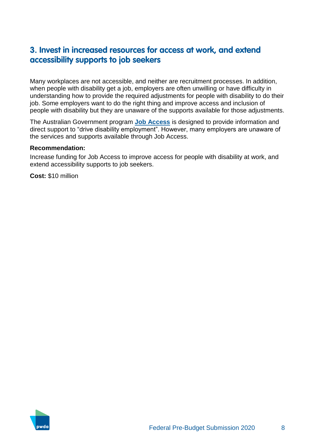## **3. Invest in increased resources for access at work, and extend accessibility supports to job seekers**

Many workplaces are not accessible, and neither are recruitment processes. In addition, when people with disability get a job, employers are often unwilling or have difficulty in understanding how to provide the required adjustments for people with disability to do their job. Some employers want to do the right thing and improve access and inclusion of people with disability but they are unaware of the supports available for those adjustments.

The Australian Government program **[Job Access](https://www.jobaccess.gov.au/home)** is designed to provide information and direct support to "drive disability employment". However, many employers are unaware of the services and supports available through Job Access.

### **Recommendation:**

Increase funding for Job Access to improve access for people with disability at work, and extend accessibility supports to job seekers.

**Cost:** \$10 million